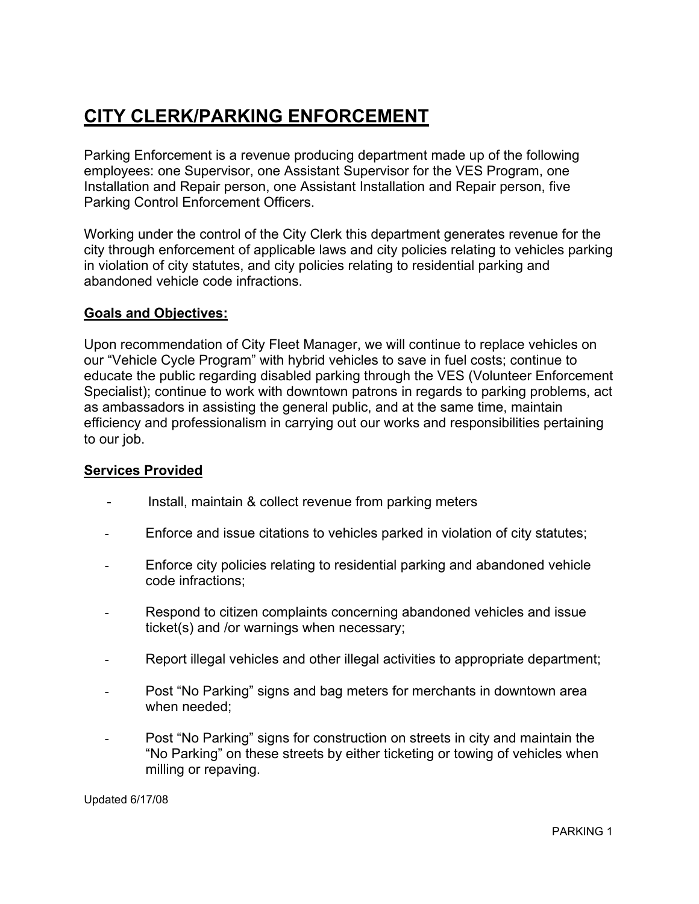## CITY CLERK/PARKING ENFORCEMENT

Parking Enforcement is a revenue producing department made up of the following employees: one Supervisor, one Assistant Supervisor for the VES Program, one Installation and Repair person, one Assistant Installation and Repair person, five Parking Control Enforcement Officers.

Working under the control of the City Clerk this department generates revenue for the city through enforcement of applicable laws and city policies relating to vehicles parking in violation of city statutes, and city policies relating to residential parking and abandoned vehicle code infractions.

#### Goals and Objectives:

Upon recommendation of City Fleet Manager, we will continue to replace vehicles on our "Vehicle Cycle Program" with hybrid vehicles to save in fuel costs; continue to educate the public regarding disabled parking through the VES (Volunteer Enforcement Specialist); continue to work with downtown patrons in regards to parking problems, act as ambassadors in assisting the general public, and at the same time, maintain efficiency and professionalism in carrying out our works and responsibilities pertaining to our job.

#### Services Provided

- Install, maintain & collect revenue from parking meters
- Enforce and issue citations to vehicles parked in violation of city statutes;
- Enforce city policies relating to residential parking and abandoned vehicle code infractions;
- Respond to citizen complaints concerning abandoned vehicles and issue ticket(s) and /or warnings when necessary;
- Report illegal vehicles and other illegal activities to appropriate department;
- Post "No Parking" signs and bag meters for merchants in downtown area when needed;
- Post "No Parking" signs for construction on streets in city and maintain the "No Parking" on these streets by either ticketing or towing of vehicles when milling or repaving.

Updated 6/17/08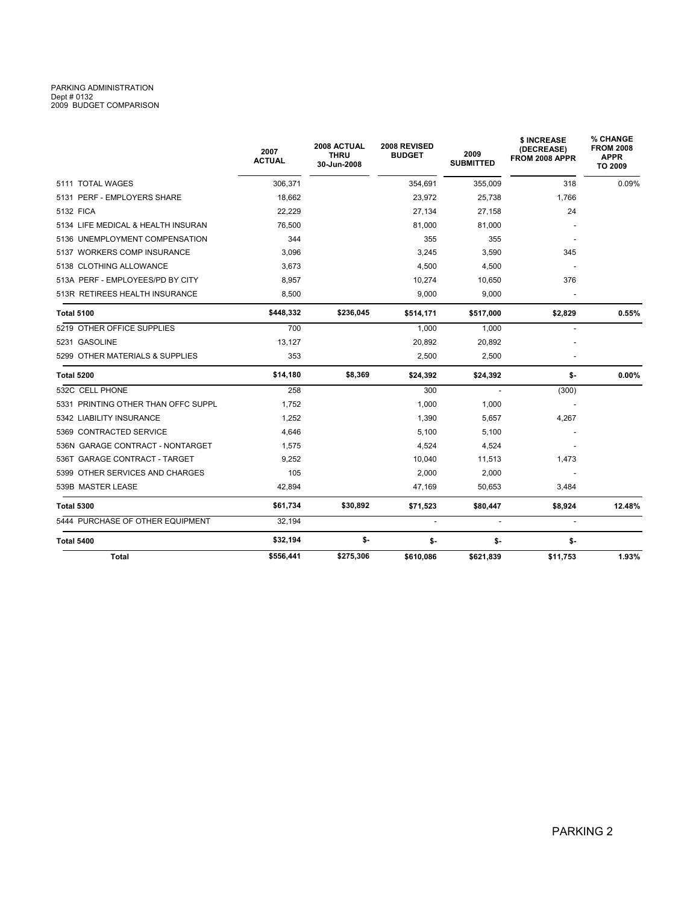# PARKING ADMINISTRATION<br>Dept # 0132<br>2009 BUDGET COMPARISON

| <b>Total</b>                        | \$556,441             | \$275,306                          | \$610,086                     | \$621,839                | \$11,753                                    | 1.93%                                                  |  |  |
|-------------------------------------|-----------------------|------------------------------------|-------------------------------|--------------------------|---------------------------------------------|--------------------------------------------------------|--|--|
| Total 5400                          | \$32,194              | \$-                                | \$-                           | \$-                      | \$-                                         |                                                        |  |  |
| 5444 PURCHASE OF OTHER EQUIPMENT    | 32,194                |                                    | $\sim$                        | $\overline{\phantom{a}}$ | $\overline{a}$                              |                                                        |  |  |
| <b>Total 5300</b>                   | \$61,734              | \$30,892                           | \$71,523                      | \$80,447                 | \$8,924                                     | 12.48%                                                 |  |  |
| 539B MASTER LEASE                   | 42,894                |                                    | 47,169                        | 50,653                   | 3,484                                       |                                                        |  |  |
| 5399 OTHER SERVICES AND CHARGES     | 105                   |                                    | 2,000                         | 2,000                    |                                             |                                                        |  |  |
| 536T GARAGE CONTRACT - TARGET       | 9,252                 |                                    | 10,040                        | 11,513                   | 1,473                                       |                                                        |  |  |
| 536N GARAGE CONTRACT - NONTARGET    | 1,575                 |                                    | 4,524                         | 4,524                    |                                             |                                                        |  |  |
| 5369 CONTRACTED SERVICE             | 4.646                 |                                    | 5,100                         | 5,100                    |                                             |                                                        |  |  |
| 5342 LIABILITY INSURANCE            | 1,252                 |                                    | 1,390                         | 5,657                    | 4,267                                       |                                                        |  |  |
| 5331 PRINTING OTHER THAN OFFC SUPPL | 1,752                 |                                    | 1,000                         | 1,000                    |                                             |                                                        |  |  |
| 532C CELL PHONE                     | 258                   |                                    | 300                           | $\overline{a}$           | (300)                                       |                                                        |  |  |
| <b>Total 5200</b>                   | \$14,180              | \$8,369                            | \$24,392                      | \$24,392                 | \$-                                         | 0.00%                                                  |  |  |
| 5299 OTHER MATERIALS & SUPPLIES     | 353                   |                                    | 2,500                         | 2,500                    |                                             |                                                        |  |  |
| 5231 GASOLINE                       | 13,127                |                                    | 20,892                        | 20,892                   |                                             |                                                        |  |  |
| 5219 OTHER OFFICE SUPPLIES          | 700                   |                                    | 1,000                         | 1,000                    |                                             |                                                        |  |  |
| <b>Total 5100</b>                   | \$448,332             | \$236,045                          | \$514,171                     | \$517,000                | \$2,829                                     | 0.55%                                                  |  |  |
| 513R RETIREES HEALTH INSURANCE      | 8,500                 |                                    | 9,000                         | 9,000                    |                                             |                                                        |  |  |
| 513A PERF - EMPLOYEES/PD BY CITY    | 8,957                 |                                    | 10,274                        | 10,650                   | 376                                         |                                                        |  |  |
| 5138 CLOTHING ALLOWANCE             | 3,673                 |                                    | 4,500                         | 4,500                    |                                             |                                                        |  |  |
| 5137 WORKERS COMP INSURANCE         | 3,096                 |                                    | 3,245                         | 3,590                    | 345                                         |                                                        |  |  |
| 5136 UNEMPLOYMENT COMPENSATION      | 344                   |                                    | 355                           | 355                      |                                             |                                                        |  |  |
| 5134 LIFE MEDICAL & HEALTH INSURAN  | 76.500                |                                    | 81,000                        | 81,000                   |                                             |                                                        |  |  |
| 5132 FICA                           | 22,229                |                                    | 27,134                        | 27,158                   | 24                                          |                                                        |  |  |
| 5131 PERF - EMPLOYERS SHARE         | 18,662                |                                    | 23,972                        | 25,738                   | 1,766                                       |                                                        |  |  |
| 5111 TOTAL WAGES                    | 306,371               |                                    | 354,691                       | 355,009                  | 318                                         | 0.09%                                                  |  |  |
|                                     | 2007<br><b>ACTUAL</b> | 2008 ACTUAL<br>THRU<br>30-Jun-2008 | 2008 REVISED<br><b>BUDGET</b> | 2009<br><b>SUBMITTED</b> | \$ INCREASE<br>(DECREASE)<br>FROM 2008 APPR | % CHANGE<br><b>FROM 2008</b><br><b>APPR</b><br>TO 2009 |  |  |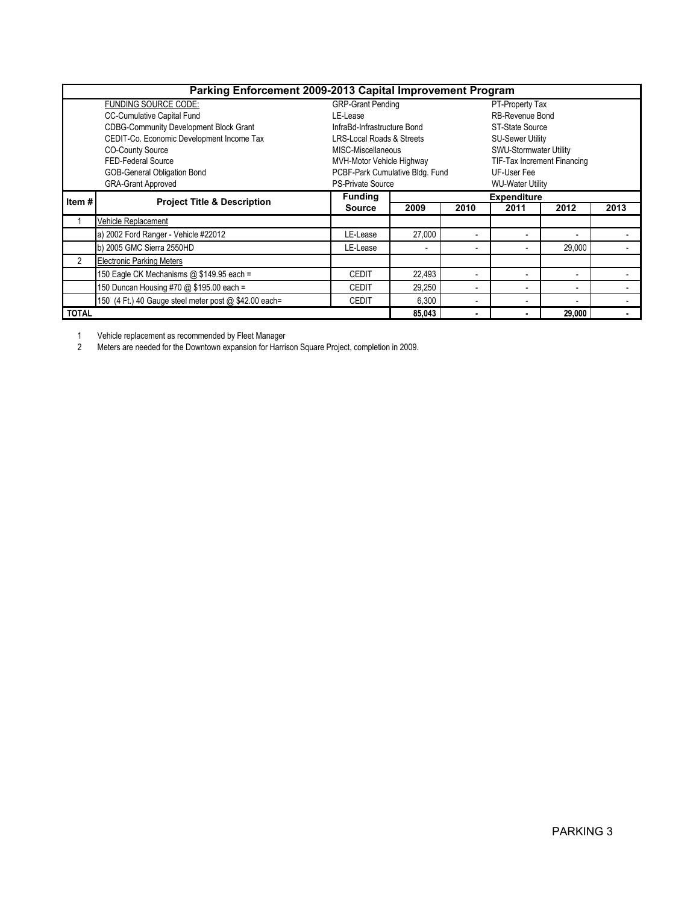| Parking Enforcement 2009-2013 Capital Improvement Program |                                                       |                                      |                |      |                             |        |      |  |  |  |  |
|-----------------------------------------------------------|-------------------------------------------------------|--------------------------------------|----------------|------|-----------------------------|--------|------|--|--|--|--|
|                                                           | FUNDING SOURCE CODE:                                  | <b>GRP-Grant Pending</b>             |                |      | PT-Property Tax             |        |      |  |  |  |  |
|                                                           | <b>CC-Cumulative Capital Fund</b>                     | LE-Lease                             |                |      | RB-Revenue Bond             |        |      |  |  |  |  |
|                                                           | CDBG-Community Development Block Grant                | InfraBd-Infrastructure Bond          |                |      | <b>ST-State Source</b>      |        |      |  |  |  |  |
|                                                           | CEDIT-Co. Economic Development Income Tax             | <b>LRS-Local Roads &amp; Streets</b> |                |      | <b>SU-Sewer Utility</b>     |        |      |  |  |  |  |
|                                                           | <b>CO-County Source</b>                               | MISC-Miscellaneous                   |                |      | SWU-Stormwater Utility      |        |      |  |  |  |  |
|                                                           | FED-Federal Source                                    | MVH-Motor Vehicle Highway            |                |      | TIF-Tax Increment Financing |        |      |  |  |  |  |
| GOB-General Obligation Bond                               |                                                       | PCBF-Park Cumulative Bldg. Fund      |                |      | UF-User Fee                 |        |      |  |  |  |  |
| <b>GRA-Grant Approved</b>                                 |                                                       | <b>PS-Private Source</b>             |                |      | <b>WU-Water Utility</b>     |        |      |  |  |  |  |
| Item#                                                     | <b>Project Title &amp; Description</b>                | <b>Funding</b>                       |                |      | <b>Expenditure</b>          |        |      |  |  |  |  |
|                                                           |                                                       | <b>Source</b>                        | 2009           | 2010 | 2011                        | 2012   | 2013 |  |  |  |  |
|                                                           | Vehicle Replacement                                   |                                      |                |      |                             |        |      |  |  |  |  |
|                                                           | a) 2002 Ford Ranger - Vehicle #22012                  | LE-Lease                             | 27,000         |      | $\blacksquare$              |        |      |  |  |  |  |
|                                                           | b) 2005 GMC Sierra 2550HD                             | LE-Lease                             | $\blacksquare$ |      | $\overline{\phantom{a}}$    | 29,000 |      |  |  |  |  |
| $\overline{2}$                                            | <b>Electronic Parking Meters</b>                      |                                      |                |      |                             |        |      |  |  |  |  |
|                                                           | 150 Eagle CK Mechanisms @ \$149.95 each =             | <b>CEDIT</b>                         | 22,493         |      | $\blacksquare$              |        |      |  |  |  |  |
|                                                           | 150 Duncan Housing #70 @ \$195.00 each =              | <b>CEDIT</b>                         | 29.250         |      | $\blacksquare$              |        |      |  |  |  |  |
|                                                           | 150 (4 Ft.) 40 Gauge steel meter post @ \$42.00 each= | <b>CEDIT</b>                         | 6,300          |      | $\blacksquare$              |        |      |  |  |  |  |
| <b>TOTAL</b>                                              |                                                       |                                      | 85.043         |      | ٠                           | 29,000 |      |  |  |  |  |

1 Vehicle replacement as recommended by Fleet Manager

2 Meters are needed for the Downtown expansion for Harrison Square Project, completion in 2009.